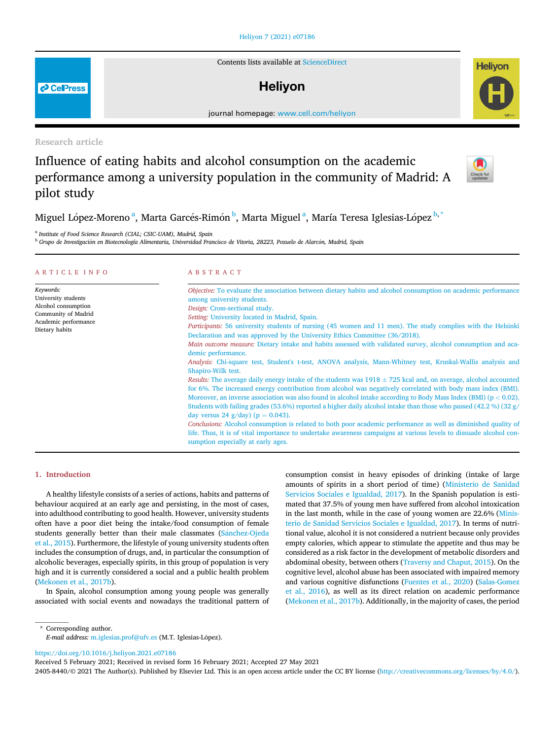## [Heliyon 7 \(2021\) e07186](https://doi.org/10.1016/j.heliyon.2021.e07186)

Contents lists available at [ScienceDirect](www.sciencedirect.com/science/journal/24058440)

## **Helivon**

journal homepage: [www.cell.com/heliyon](http://www.cell.com/heliyon)

Research article

**P** CellPress

# Influence of eating habits and alcohol consumption on the academic performance among a university population in the community of Madrid: A pilot study



**Helivon** 

Miguel López-Moreno <sup>[a](#page-0-0)</sup>, Marta Garcés-Rimón <sup>[b](#page-0-1)</sup>, Marta Miguel <sup>a</sup>, María Teresa Iglesias-López <sup>[b,](#page-0-1) [\\*](#page-0-2)</sup>

<span id="page-0-0"></span><sup>a</sup> Institute of Food Science Research (CIAL; CSIC-UAM), Madrid, Spain

<span id="page-0-1"></span><sup>b</sup> Grupo de Investigación en Biotecnología Alimentaria, Universidad Francisco de Vitoria, 28223, Pozuelo de Alarcón, Madrid, Spain

| ARTICLE INFO                                                                                                             | ABSTRACT                                                                                                                                                                                                                                                                                                                                                                                                                                                                                                                                                                                                                                                                                                                                                                                                                                                                                                                                                                                                                                                                                                                                                                                                                                                                                                                                                                                                                                                                                                         |  |  |
|--------------------------------------------------------------------------------------------------------------------------|------------------------------------------------------------------------------------------------------------------------------------------------------------------------------------------------------------------------------------------------------------------------------------------------------------------------------------------------------------------------------------------------------------------------------------------------------------------------------------------------------------------------------------------------------------------------------------------------------------------------------------------------------------------------------------------------------------------------------------------------------------------------------------------------------------------------------------------------------------------------------------------------------------------------------------------------------------------------------------------------------------------------------------------------------------------------------------------------------------------------------------------------------------------------------------------------------------------------------------------------------------------------------------------------------------------------------------------------------------------------------------------------------------------------------------------------------------------------------------------------------------------|--|--|
| Keywords:<br>University students<br>Alcohol consumption<br>Community of Madrid<br>Academic performance<br>Dietary habits | Objective: To evaluate the association between dietary habits and alcohol consumption on academic performance<br>among university students.<br>Design: Cross-sectional study.<br>Setting: University located in Madrid, Spain.<br>Participants: 56 university students of nursing (45 women and 11 men). The study complies with the Helsinki<br>Declaration and was approved by the University Ethics Committee (36/2018).<br>Main outcome measure: Dietary intake and habits assessed with validated survey, alcohol consumption and aca-<br>demic performance.<br>Analysis: Chi-square test, Student's t-test, ANOVA analysis, Mann-Whitney test, Kruskal-Wallis analysis and<br>Shapiro-Wilk test.<br>Results: The average daily energy intake of the students was $1918 \pm 725$ kcal and, on average, alcohol accounted<br>for 6%. The increased energy contribution from alcohol was negatively correlated with body mass index (BMI).<br>Moreover, an inverse association was also found in alcohol intake according to Body Mass Index (BMI) ( $p < 0.02$ ).<br>Students with failing grades (53.6%) reported a higher daily alcohol intake than those who passed (42.2 %) (32 g/<br>day versus 24 g/day) ( $p = 0.043$ ).<br>Conclusions: Alcohol consumption is related to both poor academic performance as well as diminished quality of<br>life. Thus, it is of vital importance to undertake awareness campaigns at various levels to dissuade alcohol con-<br>sumption especially at early ages. |  |  |

## 1. Introduction

A healthy lifestyle consists of a series of actions, habits and patterns of behaviour acquired at an early age and persisting, in the most of cases, into adulthood contributing to good health. However, university students often have a poor diet being the intake/food consumption of female students generally better than their male classmates [\(S](#page-5-0)á[nchez-Ojeda](#page-5-0) [et al., 2015\)](#page-5-0). Furthermore, the lifestyle of young university students often includes the consumption of drugs, and, in particular the consumption of alcoholic beverages, especially spirits, in this group of population is very high and it is currently considered a social and a public health problem ([Mekonen et al., 2017b](#page-5-1)).

In Spain, alcohol consumption among young people was generally associated with social events and nowadays the traditional pattern of consumption consist in heavy episodes of drinking (intake of large amounts of spirits in a short period of time) [\(Ministerio de Sanidad](#page-5-2) [Servicios Sociales e Igualdad, 2017\)](#page-5-2). In the Spanish population is estimated that 37.5% of young men have suffered from alcohol intoxication in the last month, while in the case of young women are 22.6% ([Minis](#page-5-2)[terio de Sanidad Servicios Sociales e Igualdad, 2017\)](#page-5-2). In terms of nutritional value, alcohol it is not considered a nutrient because only provides empty calories, which appear to stimulate the appetite and thus may be considered as a risk factor in the development of metabolic disorders and abdominal obesity, between others ([Traversy and Chaput, 2015](#page-5-3)). On the cognitive level, alcohol abuse has been associated with impaired memory and various cognitive disfunctions [\(Fuentes et al., 2020\)](#page-5-4) ([Salas-Gomez](#page-5-5) [et al., 2016](#page-5-5)), as well as its direct relation on academic performance ([Mekonen et al., 2017b](#page-5-1)). Additionally, in the majority of cases, the period

<span id="page-0-2"></span>\* Corresponding author. E-mail address: [m.iglesias.prof@ufv.es](mailto:m.iglesias.prof@ufv.es) (M.T. Iglesias-Lopez).

<https://doi.org/10.1016/j.heliyon.2021.e07186>

Received 5 February 2021; Received in revised form 16 February 2021; Accepted 27 May 2021

2405-8440/© 2021 The Author(s). Published by Elsevier Ltd. This is an open access article under the CC BY license (<http://creativecommons.org/licenses/by/4.0/>).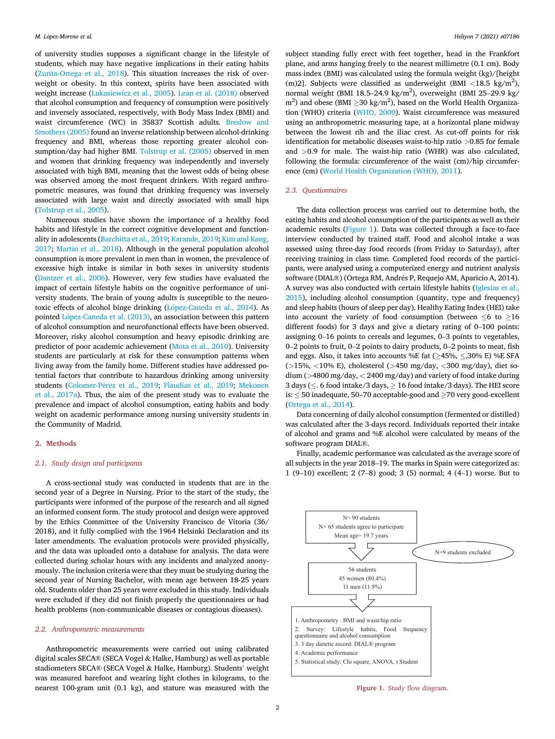of university studies supposes a significant change in the lifestyle of students, which may have negative implications in their eating habits ([Zurita-Ortega et al., 2018](#page-5-6)). This situation increases the risk of overweight or obesity. In this context, spirits have been associated with weight increase [\(Lukasiewicz et al., 2005\)](#page-5-7). [Lean et al. \(2018\)](#page-5-8) observed that alcohol consumption and frequency of consumption were positively and inversely associated, respectively, with Body Mass Index (BMI) and waist circumference (WC) in 35837 Scottish adults. [Breslow and](#page-4-0) [Smothers \(2005\)](#page-4-0) found an inverse relationship between alcohol-drinking frequency and BMI, whereas those reporting greater alcohol consumption/day had higher BMI. [Tolstrup et al. \(2005\)](#page-5-9) observed in men and women that drinking frequency was independently and inversely associated with high BMI, meaning that the lowest odds of being obese was observed among the most frequent drinkers. With regard anthropometric measures, was found that drinking frequency was inversely associated with large waist and directly associated with small hips ([Tolstrup et al., 2005\)](#page-5-9).

Numerous studies have shown the importance of a healthy food habits and lifestyle in the correct cognitive development and functionality in adolescents [\(Barchitta et al., 2019;](#page-4-1) [Karande, 2019](#page-5-10); [Kim and Kang,](#page-5-11) [2017;](#page-5-11) [Martin et al., 2018\)](#page-5-12). Although in the general population alcohol consumption is more prevalent in men than in women, the prevalence of excessive high intake is similar in both sexes in university students ([Dantzer et al., 2006\)](#page-5-13). However, very few studies have evaluated the impact of certain lifestyle habits on the cognitive performance of university students. The brain of young adults is susceptible to the neuro-toxic effects of alcohol binge drinking [\(L](#page-5-14)ó[pez-Caneda et al., 2014](#page-5-14)). As pointed López-Caneda et al. (2013), an association between this pattern of alcohol consumption and neurofunctional effects have been observed. Moreover, risky alcohol consumption and heavy episodic drinking are predictor of poor academic achievement ([Mota et al., 2010](#page-5-16)). University students are particularly at risk for these consumption patterns when living away from the family home. Different studies have addressed potential factors that contribute to hazardous drinking among university students [\(Colomer-P](#page-5-17)é[rez et al., 2019](#page-5-17); [Flaudias et al., 2019;](#page-5-18) [Mekonen](#page-5-19) [et al., 2017a\)](#page-5-19). Thus, the aim of the present study was to evaluate the prevalence and impact of alcohol consumption, eating habits and body weight on academic performance among nursing university students in the Community of Madrid.

#### 2. Methods

#### 2.1. Study design and participants

A cross-sectional study was conducted in students that are in the second year of a Degree in Nursing. Prior to the start of the study, the participants were informed of the purpose of the research and all signed an informed consent form. The study protocol and design were approved by the Ethics Committee of the University Francisco de Vitoria (36/ 2018), and it fully complied with the 1964 Helsinki Declaration and its later amendments. The evaluation protocols were provided physically, and the data was uploaded onto a database for analysis. The data were collected during scholar hours with any incidents and analyzed anonymously. The inclusion criteria were that they must be studying during the second year of Nursing Bachelor, with mean age between 18-25 years old. Students older than 25 years were excluded in this study. Individuals were excluded if they did not finish properly the questionnaires or had health problems (non-communicable diseases or contagious diseases).

#### 2.2. Anthropometric measurements

Anthropometric measurements were carried out using calibrated digital scales SECA® (SECA Vogel & Halke, Hamburg) as well as portable stadiometers SECA® (SECA Vogel & Halke, Hamburg). Students' weight was measured barefoot and wearing light clothes in kilograms, to the nearest 100-gram unit (0.1 kg), and stature was measured with the

subject standing fully erect with feet together, head in the Frankfort plane, and arms hanging freely to the nearest millimetre (0.1 cm). Body mass index (BMI) was calculated using the formula weight (kg)/[height (m)2]. Subjects were classified as underweight (BMI <18.5 kg/m<sup>2</sup>), normal weight (BMI  $18.5-24.9 \text{ kg/m}^2$ ), overweight (BMI 25-29.9 kg/m<sup>2</sup>),  $\text{m}^2$ ) and obese (BMI  $\geq$  30 kg/m<sup>2</sup>), based on the World Health Organization (WHO) criteria ([WHO, 2000\)](#page-5-20). Waist circumference was measured using an anthropometric measuring tape, at a horizontal plane midway between the lowest rib and the iliac crest. As cut-off points for risk identification for metabolic diseases waist-to-hip ratio >0.85 for female and >0.9 for male. The waist-hip ratio (WHR) was also calculated, following the formula: circumference of the waist (cm)/hip circumference (cm) ([World Health Organization \(WHO\), 2011](#page-5-21)).

#### 2.3. Questionnaires

The data collection process was carried out to determine both, the eating habits and alcohol consumption of the participants as well as their academic results [\(Figure 1](#page-1-0)). Data was collected through a face-to-face interview conducted by trained staff. Food and alcohol intake a was assessed using three-day food records (from Friday to Saturday), after receiving training in class time. Completed food records of the participants, were analysed using a computerized energy and nutrient analysis software (DIAL®) (Ortega RM, Andres P, Requejo AM, Aparicio A, 2014). A survey was also conducted with certain lifestyle habits [\(Iglesias et al.,](#page-5-22) [2015\)](#page-5-22), including alcohol consumption (quantity, type and frequency) and sleep habits (hours of sleep per day). Healthy Eating Index (HEI) take into account the variety of food consumption (between  $\leq 6$  to  $\geq 16$ different foods) for 3 days and give a dietary rating of 0–100 points: assigning 0–16 points to cereals and legumes, 0–3 points to vegetables, <sup>0</sup>–2 points to fruit, 0–2 points to dairy products, 0–2 points to meat, fish and eggs. Also, it takes into accounts %E fat ( $\geq$ 45%,  $\leq$ ,30% E) %E SFA (>15%, <10% E), cholesterol (>450 mg/day, <300 mg/day), diet sodium (>4800 mg/day, < 2400 mg/day) and variety of food intake during 3 days ( $\leq$ . 6 food intake/3 days,  $\geq$  16 food intake/3 days). The HEI score is:  $\leq$  50 inadequate, 50–70 acceptable-good and  $\geq$  70 very good-excellent ([Ortega et al., 2014](#page-5-23)).

Data concerning of daily alcohol consumption (fermented or distilled) was calculated after the 3-days record. Individuals reported their intake of alcohol and grams and %E alcohol were calculated by means of the software program DIAL®.

Finally, academic performance was calculated as the average score of all subjects in the year 2018–19. The marks in Spain were categorized as: 1 (9–10) excellent; 2 (7–8) good; 3 (5) normal; 4 (4–1) worse. But to

<span id="page-1-0"></span>

Figure 1. Study flow diagram.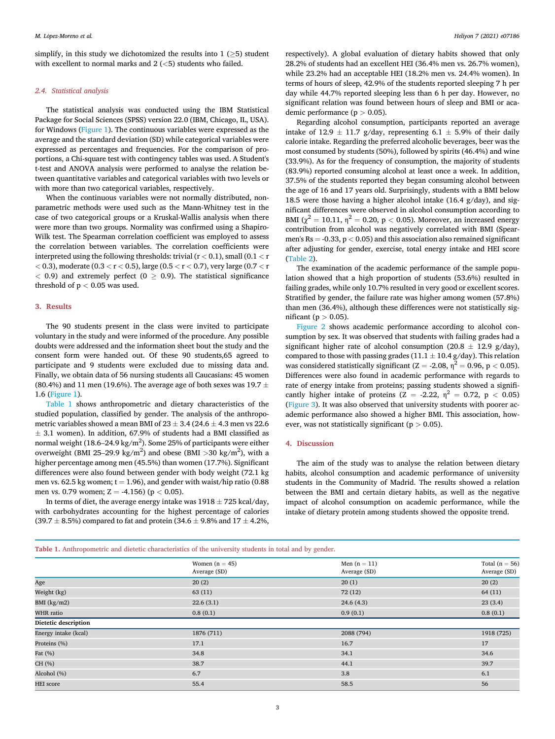simplify, in this study we dichotomized the results into  $1$  ( $>5$ ) student with excellent to normal marks and 2 (<5) students who failed.

## 2.4. Statistical analysis

The statistical analysis was conducted using the IBM Statistical Package for Social Sciences (SPSS) version 22.0 (IBM, Chicago, IL, USA). for Windows [\(Figure 1](#page-1-0)). The continuous variables were expressed as the average and the standard deviation (SD) while categorical variables were expressed as percentages and frequencies. For the comparison of proportions, a Chi-square test with contingency tables was used. A Student's t-test and ANOVA analysis were performed to analyse the relation between quantitative variables and categorical variables with two levels or with more than two categorical variables, respectively.

When the continuous variables were not normally distributed, nonparametric methods were used such as the Mann-Whitney test in the case of two categorical groups or a Kruskal-Wallis analysis when there were more than two groups. Normality was confirmed using a Shapiro-Wilk test. The Spearman correlation coefficient was employed to assess the correlation between variables. The correlation coefficients were interpreted using the following thresholds: trivial  $(r < 0.1)$ , small  $(0.1 < r$  $< 0.3$ ), moderate (0.3  $< r < 0.5$ ), large (0.5  $< r < 0.7$ ), very large (0.7  $< r$ )  $<$  0.9) and extremely perfect (0  $>$  0.9). The statistical significance threshold of  $p < 0.05$  was used.

#### 3. Results

The 90 students present in the class were invited to participate voluntary in the study and were informed of the procedure. Any possible doubts were addressed and the information sheet bout the study and the consent form were handed out. Of these 90 students,65 agreed to participate and 9 students were excluded due to missing data and. Finally, we obtain data of 56 nursing students all Caucasians: 45 women (80.4%) and 11 men (19.6%). The average age of both sexes was 19.7  $\pm$ 1.6 [\(Figure 1](#page-1-0)).

[Table 1](#page-2-0) shows anthropometric and dietary characteristics of the studied population, classified by gender. The analysis of the anthropometric variables showed a mean BMI of  $23 \pm 3.4$  (24.6  $\pm$  4.3 men vs 22.6  $\pm$  3.1 women). In addition, 67.9% of students had a BMI classified as  $\pm$  0.1 Women, m didntion, 0.12% of statements had a 2MP elastined as<br>normal weight (18.6–24.9 kg/m<sup>2</sup>). Some 25% of participants were either overweight (BMI 25–29.9 kg/m<sup>2</sup>) and obese (BMI >30 kg/m<sup>2</sup>), with a higher percentage among men (45.5%) than women (17.7%). Significant differences were also found between gender with body weight (72.1 kg men vs. 62.5 kg women;  $t = 1.96$ ), and gender with waist/hip ratio (0.88 men vs. 0.79 women; Z = -4.156) ( $p < 0.05$ ).

In terms of diet, the average energy intake was  $1918 \pm 725$  kcal/day, with carbohydrates accounting for the highest percentage of calories (39.7  $\pm$  8.5%) compared to fat and protein (34.6  $\pm$  9.8% and 17  $\pm$  4.2%,

respectively). A global evaluation of dietary habits showed that only 28.2% of students had an excellent HEI (36.4% men vs. 26.7% women), while 23.2% had an acceptable HEI (18.2% men vs. 24.4% women). In terms of hours of sleep, 42.9% of the students reported sleeping 7 h per day while 44.7% reported sleeping less than 6 h per day. However, no significant relation was found between hours of sleep and BMI or academic performance ( $p > 0.05$ ).

Regarding alcohol consumption, participants reported an average intake of 12.9  $\pm$  11.7 g/day, representing 6.1  $\pm$  5.9% of their daily calorie intake. Regarding the preferred alcoholic beverages, beer was the most consumed by students (50%), followed by spirits (46.4%) and wine (33.9%). As for the frequency of consumption, the majority of students (83.9%) reported consuming alcohol at least once a week. In addition, 37.5% of the students reported they began consuming alcohol between the age of 16 and 17 years old. Surprisingly, students with a BMI below 18.5 were those having a higher alcohol intake (16.4 g/day), and significant differences were observed in alcohol consumption according to BMI ( $\chi^2 = 10.11$ ,  $\eta^2 = 0.20$ , p < 0.05). Moreover, an increased energy contribution from alcohol was negatively correlated with BMI (Spearmen's  $Rs = -0.33$ ,  $p < 0.05$ ) and this association also remained significant after adjusting for gender, exercise, total energy intake and HEI score ([Table 2\)](#page-3-0).

The examination of the academic performance of the sample population showed that a high proportion of students (53.6%) resulted in failing grades, while only 10.7% resulted in very good or excellent scores. Stratified by gender, the failure rate was higher among women (57.8%) than men (36.4%), although these differences were not statistically significant ( $p > 0.05$ ).

[Figure 2](#page-3-1) shows academic performance according to alcohol consumption by sex. It was observed that students with failing grades had a significant higher rate of alcohol consumption (20.8  $\pm$  12.9 g/day), compared to those with passing grades (11.1  $\pm$  10.4 g/day). This relation was considered statistically significant ( $Z = -2.08$ ,  $\eta^2 = 0.96$ ,  $p < 0.05$ ). Differences were also found in academic performance with regards to rate of energy intake from proteins; passing students showed a significantly higher intake of proteins (Z = -2.22,  $\eta^2$  = 0.72, p < 0.05) ([Figure 3\)](#page-3-2). It was also observed that university students with poorer academic performance also showed a higher BMI. This association, however, was not statistically significant ( $p > 0.05$ ).

### 4. Discussion

The aim of the study was to analyse the relation between dietary habits, alcohol consumption and academic performance of university students in the Community of Madrid. The results showed a relation between the BMI and certain dietary habits, as well as the negative impact of alcohol consumption on academic performance, while the intake of dietary protein among students showed the opposite trend.

<span id="page-2-0"></span>

| Table 1. Anthropometric and dietetic characteristics of the university students in total and by gender. |  |  |  |
|---------------------------------------------------------------------------------------------------------|--|--|--|
|---------------------------------------------------------------------------------------------------------|--|--|--|

|                      | Women $(n = 45)$<br>Average (SD) | Men $(n = 11)$<br>Average (SD) | Total ( $n = 56$ )<br>Average (SD) |
|----------------------|----------------------------------|--------------------------------|------------------------------------|
| Age                  | 20(2)                            | 20(1)                          | 20(2)                              |
| Weight (kg)          | 63(11)                           | 72(12)                         | 64(11)                             |
| BMI $(kg/m2)$        | 22.6(3.1)                        | 24.6(4.3)                      | 23(3.4)                            |
| WHR ratio            | 0.8(0.1)                         | 0.9(0.1)                       | 0.8(0.1)                           |
| Dietetic description |                                  |                                |                                    |
| Energy intake (kcal) | 1876 (711)                       | 2088 (794)                     | 1918 (725)                         |
| Proteins (%)         | 17.1                             | 16.7                           | 17                                 |
| Fat $(\%)$           | 34.8                             | 34.1                           | 34.6                               |
| CH (%)               | 38.7                             | 44.1                           | 39.7                               |
| Alcohol (%)          | 6.7                              | 3.8                            | 6.1                                |
| <b>HEI</b> score     | 55.4                             | 58.5                           | 56                                 |
|                      |                                  |                                |                                    |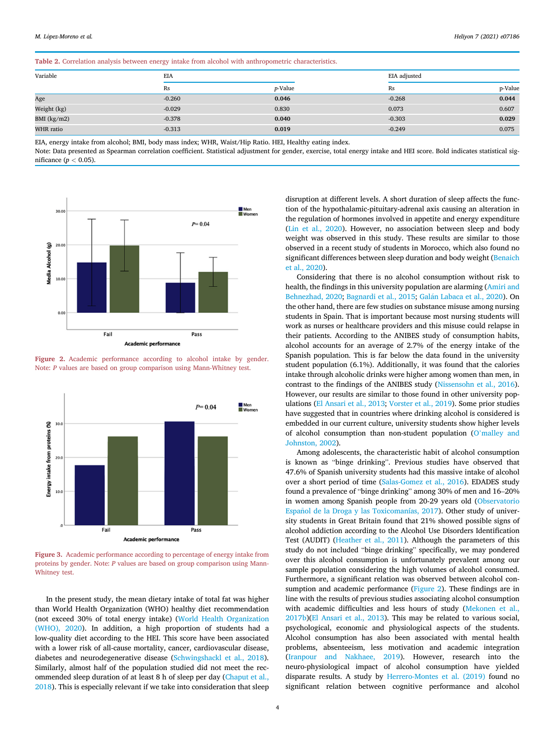<span id="page-3-0"></span>Table 2. Correlation analysis between energy intake from alcohol with anthropometric characteristics.

| Variable      | EIA      |         |          | EIA adjusted |  |  |  |
|---------------|----------|---------|----------|--------------|--|--|--|
|               | Rs       | p-Value | Rs       | p-Value      |  |  |  |
| Age           | $-0.260$ | 0.046   | $-0.268$ | 0.044        |  |  |  |
| Weight (kg)   | $-0.029$ | 0.830   | 0.073    | 0.607        |  |  |  |
| BMI $(kg/m2)$ | $-0.378$ | 0.040   | $-0.303$ | 0.029        |  |  |  |
| WHR ratio     | $-0.313$ | 0.019   | $-0.249$ | 0.075        |  |  |  |

EIA, energy intake from alcohol; BMI, body mass index; WHR, Waist/Hip Ratio. HEI, Healthy eating index.

Note: Data presented as Spearman correlation coefficient. Statistical adjustment for gender, exercise, total energy intake and HEI score. Bold indicates statistical significance  $(n < 0.05)$ .

<span id="page-3-1"></span>

Figure 2. Academic performance according to alcohol intake by gender. Note: P values are based on group comparison using Mann-Whitney test.

<span id="page-3-2"></span>

Figure 3. Academic performance according to percentage of energy intake from proteins by gender. Note: P values are based on group comparison using Mann-Whitney test.

In the present study, the mean dietary intake of total fat was higher than World Health Organization (WHO) healthy diet recommendation (not exceed 30% of total energy intake) [\(World Health Organization](#page-5-24) [\(WHO\), 2020\)](#page-5-24). In addition, a high proportion of students had a low-quality diet according to the HEI. This score have been associated with a lower risk of all-cause mortality, cancer, cardiovascular disease, diabetes and neurodegenerative disease [\(Schwingshackl et al., 2018\)](#page-5-25). Similarly, almost half of the population studied did not meet the recommended sleep duration of at least 8 h of sleep per day ([Chaput et al.,](#page-5-26) [2018\)](#page-5-26). This is especially relevant if we take into consideration that sleep

disruption at different levels. A short duration of sleep affects the function of the hypothalamic-pituitary-adrenal axis causing an alteration in the regulation of hormones involved in appetite and energy expenditure ([Lin et al., 2020](#page-5-27)). However, no association between sleep and body weight was observed in this study. These results are similar to those observed in a recent study of students in Morocco, which also found no significant differences between sleep duration and body weight ([Benaich](#page-4-2) [et al., 2020](#page-4-2)).

Considering that there is no alcohol consumption without risk to health, the findings in this university population are alarming [\(Amiri and](#page-4-3) [Behnezhad, 2020](#page-4-3); [Bagnardi et al., 2015;](#page-4-4) [Gal](#page-5-28)án Labaca et al., 2020). On the other hand, there are few studies on substance misuse among nursing students in Spain. That is important because most nursing students will work as nurses or healthcare providers and this misuse could relapse in their patients. According to the ANIBES study of consumption habits, alcohol accounts for an average of 2.7% of the energy intake of the Spanish population. This is far below the data found in the university student population (6.1%). Additionally, it was found that the calories intake through alcoholic drinks were higher among women than men, in contrast to the findings of the ANIBES study ([Nissensohn et al., 2016\)](#page-5-29). However, our results are similar to those found in other university populations ([El Ansari et al., 2013](#page-5-30); [Vorster et al., 2019](#page-5-31)). Some prior studies have suggested that in countries where drinking alcohol is considered is embedded in our current culture, university students show higher levels of alcohol consumption than non-student population (O'[malley and](#page-5-32) [Johnston, 2002\)](#page-5-32).

Among adolescents, the characteristic habit of alcohol consumption is known as "binge drinking". Previous studies have observed that 47.6% of Spanish university students had this massive intake of alcohol over a short period of time ([Salas-Gomez et al., 2016](#page-5-5)). EDADES study found a prevalence of "binge drinking" among 30% of men and 16–20% in women among Spanish people from 20-29 years old ([Observatorio](#page-5-33) Español de la Droga y las Toxicomanías, 2017). Other study of university students in Great Britain found that 21% showed possible signs of alcohol addiction according to the Alcohol Use Disorders Identification Test (AUDIT) [\(Heather et al., 2011\)](#page-5-34). Although the parameters of this study do not included "binge drinking" specifically, we may pondered over this alcohol consumption is unfortunately prevalent among our sample population considering the high volumes of alcohol consumed. Furthermore, a significant relation was observed between alcohol consumption and academic performance [\(Figure 2\)](#page-3-1). These findings are in line with the results of previous studies associating alcohol consumption with academic difficulties and less hours of study ([Mekonen et al.,](#page-5-1) [2017b\)](#page-5-1)([El Ansari et al., 2013](#page-5-30)). This may be related to various social, psychological, economic and physiological aspects of the students. Alcohol consumption has also been associated with mental health problems, absenteeism, less motivation and academic integration ([Iranpour and Nakhaee, 2019\)](#page-5-35). However, research into the neuro-physiological impact of alcohol consumption have yielded disparate results. A study by [Herrero-Montes et al. \(2019\)](#page-5-36) found no significant relation between cognitive performance and alcohol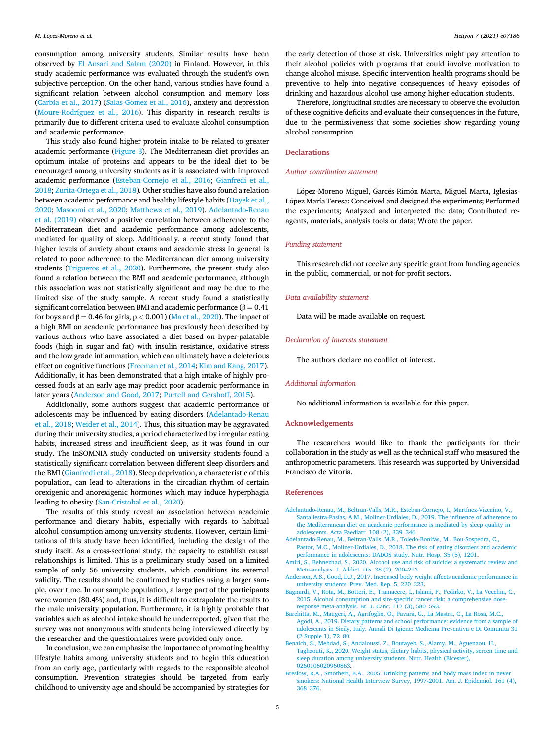consumption among university students. Similar results have been observed by [El Ansari and Salam \(2020\)](#page-5-37) in Finland. However, in this study academic performance was evaluated through the student's own subjective perception. On the other hand, various studies have found a significant relation between alcohol consumption and memory loss ([Carbia et al., 2017\)](#page-5-38) [\(Salas-Gomez et al., 2016\)](#page-5-5), anxiety and depression ([Moure-Rodríguez et al., 2016\)](#page-5-39). This disparity in research results is primarily due to different criteria used to evaluate alcohol consumption and academic performance.

This study also found higher protein intake to be related to greater academic performance [\(Figure 3\)](#page-3-2). The Mediterranean diet provides an optimum intake of proteins and appears to be the ideal diet to be encouraged among university students as it is associated with improved academic performance [\(Esteban-Cornejo et al., 2016](#page-5-40); [Gianfredi et al.,](#page-5-41) [2018;](#page-5-41) [Zurita-Ortega et al., 2018](#page-5-6)). Other studies have also found a relation between academic performance and healthy lifestyle habits [\(Hayek et al.,](#page-5-42) [2020;](#page-5-42) [Masoomi et al., 2020;](#page-5-43) [Matthews et al., 2019\)](#page-5-44). [Adelantado-Renau](#page-4-5) [et al. \(2019\)](#page-4-5) observed a positive correlation between adherence to the Mediterranean diet and academic performance among adolescents, mediated for quality of sleep. Additionally, a recent study found that higher levels of anxiety about exams and academic stress in general is related to poor adherence to the Mediterranean diet among university students ([Trigueros et al., 2020](#page-5-45)). Furthermore, the present study also found a relation between the BMI and academic performance, although this association was not statistically significant and may be due to the limited size of the study sample. A recent study found a statistically significant correlation between BMI and academic performance ( $\beta = 0.41$ for boys and  $\beta = 0.46$  for girls, p < 0.001) ([Ma et al., 2020\)](#page-5-46). The impact of a high BMI on academic performance has previously been described by various authors who have associated a diet based on hyper-palatable foods (high in sugar and fat) with insulin resistance, oxidative stress and the low grade inflammation, which can ultimately have a deleterious effect on cognitive functions ([Freeman et al., 2014;](#page-5-47) [Kim and Kang, 2017\)](#page-5-11). Additionally, it has been demonstrated that a high intake of highly processed foods at an early age may predict poor academic performance in later years [\(Anderson and Good, 2017](#page-4-6); [Purtell and Gershoff, 2015\)](#page-5-48).

Additionally, some authors suggest that academic performance of adolescents may be influenced by eating disorders [\(Adelantado-Renau](#page-4-7) [et al., 2018;](#page-4-7) [Weider et al., 2014](#page-5-49)). Thus, this situation may be aggravated during their university studies, a period characterized by irregular eating habits, increased stress and insufficient sleep, as it was found in our study. The InSOMNIA study conducted on university students found a statistically significant correlation between different sleep disorders and the BMI [\(Gianfredi et al., 2018](#page-5-41)). Sleep deprivation, a characteristic of this population, can lead to alterations in the circadian rhythm of certain orexigenic and anorexigenic hormones which may induce hyperphagia leading to obesity [\(San-Cristobal et al., 2020\)](#page-5-50).

The results of this study reveal an association between academic performance and dietary habits, especially with regards to habitual alcohol consumption among university students. However, certain limitations of this study have been identified, including the design of the study itself. As a cross-sectional study, the capacity to establish causal relationships is limited. This is a preliminary study based on a limited sample of only 56 university students, which conditions its external validity. The results should be confirmed by studies using a larger sample, over time. In our sample population, a large part of the participants were women (80.4%) and, thus, it is difficult to extrapolate the results to the male university population. Furthermore, it is highly probable that variables such as alcohol intake should be underreported, given that the survey was not anonymous with students being interviewed directly by the researcher and the questionnaires were provided only once.

In conclusion, we can emphasise the importance of promoting healthy lifestyle habits among university students and to begin this education from an early age, particularly with regards to the responsible alcohol consumption. Prevention strategies should be targeted from early childhood to university age and should be accompanied by strategies for

the early detection of those at risk. Universities might pay attention to their alcohol policies with programs that could involve motivation to change alcohol misuse. Specific intervention health programs should be preventive to help into negative consequences of heavy episodes of drinking and hazardous alcohol use among higher education students.

Therefore, longitudinal studies are necessary to observe the evolution of these cognitive deficits and evaluate their consequences in the future, due to the permissiveness that some societies show regarding young alcohol consumption.

## Declarations

#### Author contribution statement

López-Moreno Miguel, Garcés-Rimón Marta, Miguel Marta, Iglesias-López María Teresa: Conceived and designed the experiments; Performed the experiments; Analyzed and interpreted the data; Contributed reagents, materials, analysis tools or data; Wrote the paper.

## Funding statement

This research did not receive any specific grant from funding agencies in the public, commercial, or not-for-profit sectors.

#### Data availability statement

Data will be made available on request.

## Declaration of interests statement

The authors declare no conflict of interest.

#### Additional information

No additional information is available for this paper.

#### Acknowledgements

The researchers would like to thank the participants for their collaboration in the study as well as the technical staff who measured the anthropometric parameters. This research was supported by Universidad Francisco de Vitoria.

#### <span id="page-4-5"></span>References

- <span id="page-4-7"></span>[Adelantado-Renau, M., Beltran-Valls, M.R., Esteban-Cornejo, I., Martínez-Vizcaíno, V.,](http://refhub.elsevier.com/S2405-8440(21)01289-5/sref1) [Santaliestra-Pasías, A.M., Moliner-Urdiales, D., 2019. The in](http://refhub.elsevier.com/S2405-8440(21)01289-5/sref1)fluence of adherence to [the Mediterranean diet on academic performance is mediated by sleep quality in](http://refhub.elsevier.com/S2405-8440(21)01289-5/sref1) [adolescents. Acta Paediatr. 108 \(2\), 339](http://refhub.elsevier.com/S2405-8440(21)01289-5/sref1)–[346](http://refhub.elsevier.com/S2405-8440(21)01289-5/sref1).
- <span id="page-4-3"></span>[Adelantado-Renau, M., Beltran-Valls, M.R., Toledo-Bonif](http://refhub.elsevier.com/S2405-8440(21)01289-5/sref2)ás, M., Bou-Sospedra, C. [Pastor, M.C., Moliner-Urdiales, D., 2018. The risk of eating disorders and academic](http://refhub.elsevier.com/S2405-8440(21)01289-5/sref2)
- <span id="page-4-6"></span>[performance in adolescents: DADOS study. Nutr. Hosp. 35 \(5\), 1201](http://refhub.elsevier.com/S2405-8440(21)01289-5/sref2). [Amiri, S., Behnezhad, S., 2020. Alcohol use and risk of suicide: a systematic review and](http://refhub.elsevier.com/S2405-8440(21)01289-5/sref3)
- <span id="page-4-4"></span>[Meta-analysis. J. Addict. Dis. 38 \(2\), 200](http://refhub.elsevier.com/S2405-8440(21)01289-5/sref3)–[213.](http://refhub.elsevier.com/S2405-8440(21)01289-5/sref3) [Anderson, A.S., Good, D.J., 2017. Increased body weight affects academic performance in](http://refhub.elsevier.com/S2405-8440(21)01289-5/sref4) [university students. Prev. Med. Rep. 5, 220](http://refhub.elsevier.com/S2405-8440(21)01289-5/sref4)–[223.](http://refhub.elsevier.com/S2405-8440(21)01289-5/sref4)
- <span id="page-4-1"></span>[Bagnardi, V., Rota, M., Botteri, E., Tramacere, I., Islami, F., Fedirko, V., La Vecchia, C.,](http://refhub.elsevier.com/S2405-8440(21)01289-5/sref5) [2015. Alcohol consumption and site-speci](http://refhub.elsevier.com/S2405-8440(21)01289-5/sref5)fic cancer risk: a comprehensive dose[response meta-analysis. Br. J. Canc. 112 \(3\), 580](http://refhub.elsevier.com/S2405-8440(21)01289-5/sref5)–[593](http://refhub.elsevier.com/S2405-8440(21)01289-5/sref5).
- <span id="page-4-2"></span>[Barchitta, M., Maugeri, A., Agrifoglio, O., Favara, G., La Mastra, C., La Rosa, M.C.,](http://refhub.elsevier.com/S2405-8440(21)01289-5/sref6) [Agodi, A., 2019. Dietary patterns and school performance: evidence from a sample of](http://refhub.elsevier.com/S2405-8440(21)01289-5/sref6) [adolescents in Sicily, Italy. Annali Di Igiene: Medicina Preventiva e Di Comunita 31](http://refhub.elsevier.com/S2405-8440(21)01289-5/sref6) [\(2 Supple 1\), 72](http://refhub.elsevier.com/S2405-8440(21)01289-5/sref6)–[80](http://refhub.elsevier.com/S2405-8440(21)01289-5/sref6).
- <span id="page-4-0"></span>[Benaich, S., Mehdad, S., Andaloussi, Z., Boutayeb, S., Alamy, M., Aguenaou, H.,](http://refhub.elsevier.com/S2405-8440(21)01289-5/sref7) [Taghzouti, K., 2020. Weight status, dietary habits, physical activity, screen time and](http://refhub.elsevier.com/S2405-8440(21)01289-5/sref7) [sleep duration among university students. Nutr. Health \(Bicester\),](http://refhub.elsevier.com/S2405-8440(21)01289-5/sref7) [0260106020960863.](http://refhub.elsevier.com/S2405-8440(21)01289-5/sref7)
- [Breslow, R.A., Smothers, B.A., 2005. Drinking patterns and body mass index in never](http://refhub.elsevier.com/S2405-8440(21)01289-5/sref8) [smokers: National Health Interview Survey, 1997-2001. Am. J. Epidemiol. 161 \(4\),](http://refhub.elsevier.com/S2405-8440(21)01289-5/sref8) [368](http://refhub.elsevier.com/S2405-8440(21)01289-5/sref8)–[376](http://refhub.elsevier.com/S2405-8440(21)01289-5/sref8).